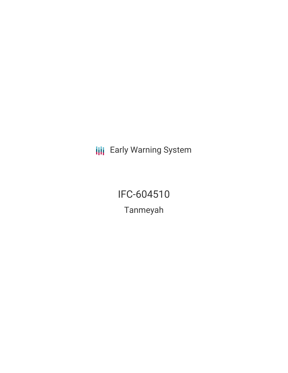**III** Early Warning System

IFC-604510 Tanmeyah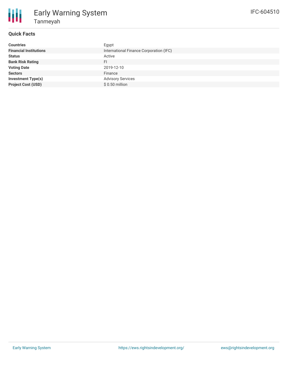

# Early Warning System Tanmeyah

### **Quick Facts**

| <b>Countries</b>              | Egypt                                   |
|-------------------------------|-----------------------------------------|
| <b>Financial Institutions</b> | International Finance Corporation (IFC) |
| <b>Status</b>                 | Active                                  |
| <b>Bank Risk Rating</b>       | FI                                      |
| <b>Voting Date</b>            | 2019-12-10                              |
| <b>Sectors</b>                | Finance                                 |
| <b>Investment Type(s)</b>     | <b>Advisory Services</b>                |
| <b>Project Cost (USD)</b>     | $$0.50$ million                         |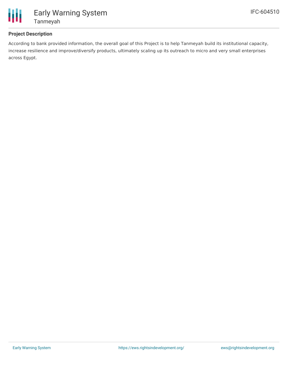

# Early Warning System Tanmeyah

## **Project Description**

According to bank provided information, the overall goal of this Project is to help Tanmeyah build its institutional capacity, increase resilience and improve/diversify products, ultimately scaling up its outreach to micro and very small enterprises across Egypt.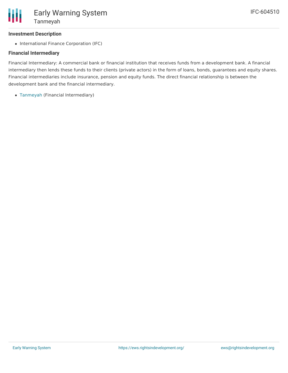#### **Investment Description**

• International Finance Corporation (IFC)

### **Financial Intermediary**

Financial Intermediary: A commercial bank or financial institution that receives funds from a development bank. A financial intermediary then lends these funds to their clients (private actors) in the form of loans, bonds, guarantees and equity shares. Financial intermediaries include insurance, pension and equity funds. The direct financial relationship is between the development bank and the financial intermediary.

[Tanmeyah](file:///actor/3623/) (Financial Intermediary)